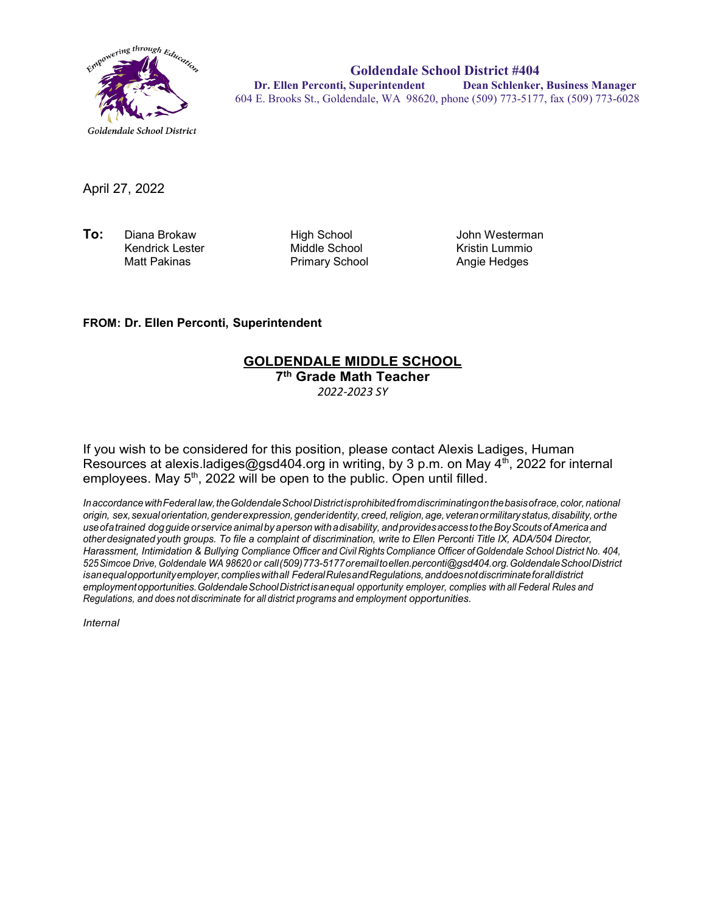

**Goldendale School District #404 Dr. Ellen Perconti, Superintendent Dean Schlenker, Business Manager** 604 E. Brooks St., Goldendale, WA 98620, phone (509) 773-5177, fax (509) 773-6028

April 27, 2022

**To:** Diana Brokaw High School John Westerman Kendrick Lester Middle School Kristin Lummio

Primary School

## **FROM: Dr. Ellen Perconti, Superintendent**

## **GOLDENDALE MIDDLE SCHOOL**

**7th Grade Math Teacher**

*2022-2023 SY*

If you wish to be considered for this position, please contact Alexis Ladiges, Human Resources at alexis.ladiges@gsd404.org in writing, by 3 p.m. on May  $4^{th}$ , 2022 for internal employees. May  $5<sup>th</sup>$ , 2022 will be open to the public. Open until filled.

*InaccordancewithFederal law,theGoldendaleSchoolDistrictisprohibitedfromdiscriminatingonthebasisofrace,color,national origin, sex,sexualorientation,genderexpression,genderidentity, creed,religion,age, veteranormilitarystatus,disability, orthe useofatrained dogguide orservice animal by aperson withadisability, andprovidesaccess totheBoyScouts ofAmerica and other designated youth groups. To file a complaint of discrimination, write to Ellen Perconti Title IX, ADA/504 Director, Harassment, Intimidation & Bullying Compliance Officer and Civil Rights Compliance Officer ofGoldendale School District No. 404, 525Simcoe Drive, Goldendale WA 98620 or call(509)773-5177oremailt[oellen.perconti@gsd404.org.G](mailto:ellen.perconti@gsd404.org)oldendaleSchoolDistrict isanequalopportunityemployer,complieswithall FederalRulesandRegulations,anddoesnotdiscriminateforalldistrict employmentopportunities.GoldendaleSchoolDistrictisanequal opportunity employer, complies with all Federal Rules and Regulations, and does not discriminate for all district programs and employment opportunities.*

*Internal*